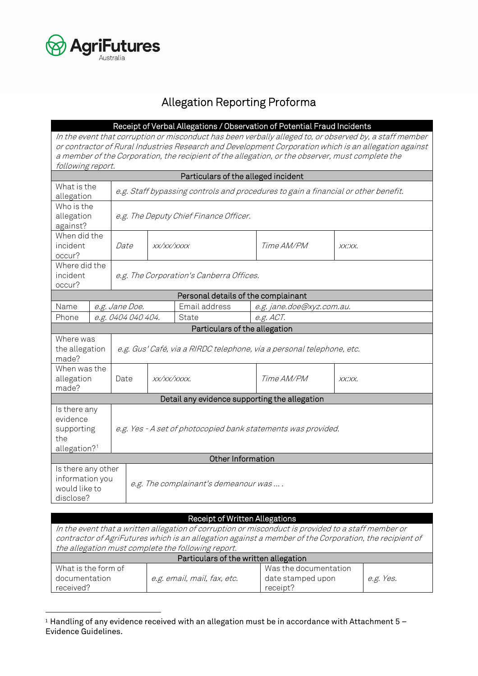

## Allegation Reporting Proforma

|                                                                           |                                                                                    |                                                                       |                                          |                                               | Receipt of Verbal Allegations / Observation of Potential Fraud Incidents                             |                                                                                                                                                                                                                  |  |
|---------------------------------------------------------------------------|------------------------------------------------------------------------------------|-----------------------------------------------------------------------|------------------------------------------|-----------------------------------------------|------------------------------------------------------------------------------------------------------|------------------------------------------------------------------------------------------------------------------------------------------------------------------------------------------------------------------|--|
| following report.                                                         |                                                                                    |                                                                       |                                          |                                               | a member of the Corporation, the recipient of the allegation, or the observer, must complete the     | In the event that corruption or misconduct has been verbally alleged to, or observed by, a staff member<br>or contractor of Rural Industries Research and Development Corporation which is an allegation against |  |
|                                                                           |                                                                                    |                                                                       |                                          | Particulars of the alleged incident           |                                                                                                      |                                                                                                                                                                                                                  |  |
| What is the<br>allegation                                                 | e.g. Staff bypassing controls and procedures to gain a financial or other benefit. |                                                                       |                                          |                                               |                                                                                                      |                                                                                                                                                                                                                  |  |
| against?                                                                  | Who is the<br>allegation<br>e.g. The Deputy Chief Finance Officer.                 |                                                                       |                                          |                                               |                                                                                                      |                                                                                                                                                                                                                  |  |
| When did the<br>incident<br>occur?                                        |                                                                                    | Date                                                                  | XX/XX/XXXX                               |                                               | <i>Time AM/PM</i>                                                                                    | XX:XX.                                                                                                                                                                                                           |  |
| Where did the<br>incident<br>occur?                                       |                                                                                    |                                                                       | e.g. The Corporation's Canberra Offices. |                                               |                                                                                                      |                                                                                                                                                                                                                  |  |
|                                                                           |                                                                                    |                                                                       |                                          | Personal details of the complainant           |                                                                                                      |                                                                                                                                                                                                                  |  |
| Name                                                                      |                                                                                    | e.g. Jane Doe.                                                        |                                          | Email address                                 | e.g. jane.doe@xyz.com.au.                                                                            |                                                                                                                                                                                                                  |  |
| Phone                                                                     |                                                                                    | e.g. 0404 040 404.                                                    |                                          | State                                         | e.g. ACT.                                                                                            |                                                                                                                                                                                                                  |  |
|                                                                           |                                                                                    |                                                                       |                                          | Particulars of the allegation                 |                                                                                                      |                                                                                                                                                                                                                  |  |
| Where was<br>the allegation<br>made?                                      |                                                                                    | e.g. Gus' Café, via a RIRDC telephone, via a personal telephone, etc. |                                          |                                               |                                                                                                      |                                                                                                                                                                                                                  |  |
| When was the<br>allegation<br>made?                                       |                                                                                    | Date                                                                  | XX/XX/XXXX.                              |                                               | <i>Time AM/PM</i>                                                                                    | XX:XX.                                                                                                                                                                                                           |  |
|                                                                           |                                                                                    |                                                                       |                                          | Detail any evidence supporting the allegation |                                                                                                      |                                                                                                                                                                                                                  |  |
| Is there any<br>evidence<br>supporting<br>the<br>allegation? <sup>1</sup> |                                                                                    | e.g. Yes - A set of photocopied bank statements was provided.         |                                          |                                               |                                                                                                      |                                                                                                                                                                                                                  |  |
|                                                                           |                                                                                    |                                                                       |                                          | Other Information                             |                                                                                                      |                                                                                                                                                                                                                  |  |
| Is there any other<br>information you<br>would like to<br>disclose?       |                                                                                    | e.g. The complainant's demeanour was                                  |                                          |                                               |                                                                                                      |                                                                                                                                                                                                                  |  |
|                                                                           |                                                                                    |                                                                       |                                          |                                               |                                                                                                      |                                                                                                                                                                                                                  |  |
|                                                                           |                                                                                    |                                                                       |                                          | Receipt of Written Allegations                | In the quant that a written ellegation of earry prince or misearchy is provided to a staff mamber or |                                                                                                                                                                                                                  |  |

| In the event that a written allegation of corruption or misconduct is provided to a staff member or<br>contractor of AgriFutures which is an allegation against a member of the Corporation, the recipient of<br>the allegation must complete the following report. |  |  |  |  |  |
|---------------------------------------------------------------------------------------------------------------------------------------------------------------------------------------------------------------------------------------------------------------------|--|--|--|--|--|
| Particulars of the written allegation                                                                                                                                                                                                                               |  |  |  |  |  |
| What is the form of<br>Was the documentation<br>documentation<br>date stamped upon<br>e.g. email, mail, fax, etc.<br>e.g. Yes.<br>receipt?<br>received?                                                                                                             |  |  |  |  |  |

<span id="page-0-0"></span> $1$  Handling of any evidence received with an allegation must be in accordance with Attachment 5 – Evidence Guidelines.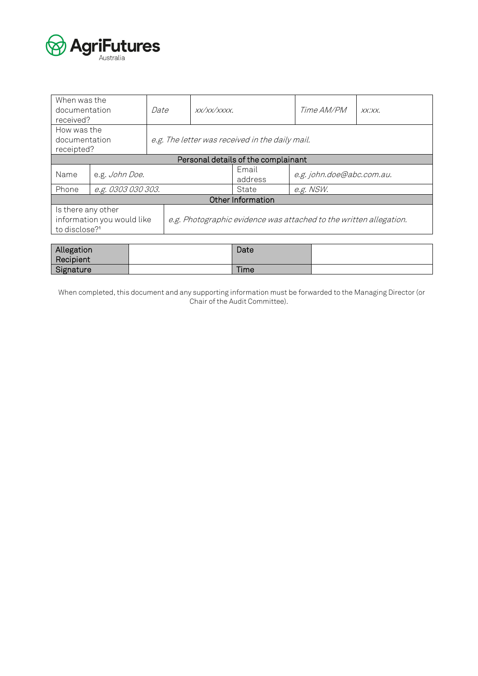

| When was the<br>documentation<br>received?                                    |                    | Date | XX/XX/XXXX                                                         |                                     | Time AM/PM          | $XX$ $XX$ .               |  |  |
|-------------------------------------------------------------------------------|--------------------|------|--------------------------------------------------------------------|-------------------------------------|---------------------|---------------------------|--|--|
| How was the<br>documentation<br>receipted?                                    |                    |      | e.g. The letter was received in the daily mail.                    |                                     |                     |                           |  |  |
|                                                                               |                    |      |                                                                    | Personal details of the complainant |                     |                           |  |  |
| Name                                                                          | e.g. John Doe.     |      |                                                                    |                                     | Email<br>address    | e.g. john.doe@abc.com.au. |  |  |
| Phone                                                                         | e.g. 0303 030 303. |      |                                                                    | e.g. NSW.<br>State                  |                     |                           |  |  |
|                                                                               | Other Information  |      |                                                                    |                                     |                     |                           |  |  |
| Is there any other<br>information you would like<br>to disclose? <sup>1</sup> |                    |      | e.g. Photographic evidence was attached to the written allegation. |                                     |                     |                           |  |  |
| Allogotion                                                                    |                    |      |                                                                    |                                     | $D_{\alpha+\alpha}$ |                           |  |  |

| Allegation | Date        |  |
|------------|-------------|--|
| Recipient  |             |  |
| Signature  | <b>Time</b> |  |

When completed, this document and any supporting information must be forwarded to the Managing Director (or Chair of the Audit Committee).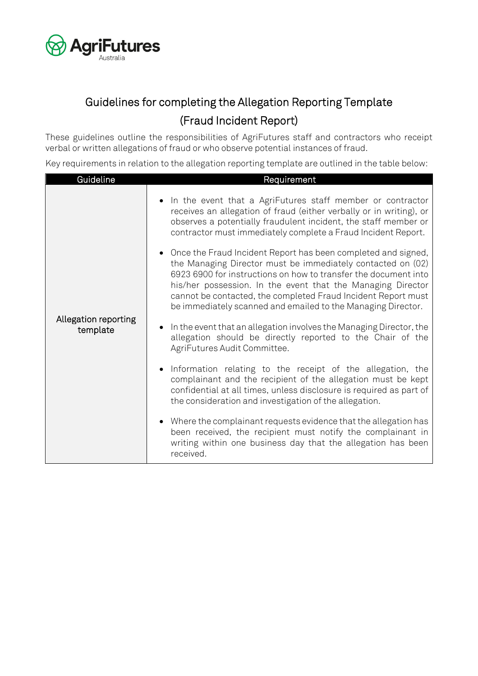

# Guidelines for completing the Allegation Reporting Template (Fraud Incident Report)

These guidelines outline the responsibilities of AgriFutures staff and contractors who receipt verbal or written allegations of fraud or who observe potential instances of fraud.

Key requirements in relation to the allegation reporting template are outlined in the table below:

| Guideline                        | Requirement                                                                                                                                                                                                                                                                                                                                                                                                                                                                                                                                                                                                                                                                                                                                                                                                                                                                                                     |
|----------------------------------|-----------------------------------------------------------------------------------------------------------------------------------------------------------------------------------------------------------------------------------------------------------------------------------------------------------------------------------------------------------------------------------------------------------------------------------------------------------------------------------------------------------------------------------------------------------------------------------------------------------------------------------------------------------------------------------------------------------------------------------------------------------------------------------------------------------------------------------------------------------------------------------------------------------------|
| Allegation reporting<br>template | • In the event that a AgriFutures staff member or contractor<br>receives an allegation of fraud (either verbally or in writing), or<br>observes a potentially fraudulent incident, the staff member or<br>contractor must immediately complete a Fraud Incident Report.<br>• Once the Fraud Incident Report has been completed and signed,<br>the Managing Director must be immediately contacted on (02)<br>6923 6900 for instructions on how to transfer the document into<br>his/her possession. In the event that the Managing Director<br>cannot be contacted, the completed Fraud Incident Report must<br>be immediately scanned and emailed to the Managing Director.<br>In the event that an allegation involves the Managing Director, the<br>allegation should be directly reported to the Chair of the<br>AgriFutures Audit Committee.<br>Information relating to the receipt of the allegation, the |
|                                  | complainant and the recipient of the allegation must be kept<br>confidential at all times, unless disclosure is required as part of<br>the consideration and investigation of the allegation.                                                                                                                                                                                                                                                                                                                                                                                                                                                                                                                                                                                                                                                                                                                   |
|                                  | • Where the complainant requests evidence that the allegation has<br>been received, the recipient must notify the complainant in<br>writing within one business day that the allegation has been<br>received.                                                                                                                                                                                                                                                                                                                                                                                                                                                                                                                                                                                                                                                                                                   |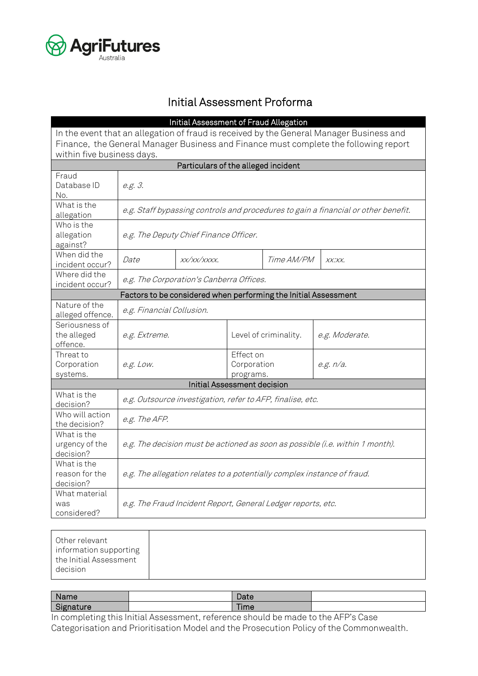

#### Initial Assessment Proforma

|                                    |                                                                                          | Initial Assessment of Fraud Allegation                     |                       |            |                                                                                    |  |  |
|------------------------------------|------------------------------------------------------------------------------------------|------------------------------------------------------------|-----------------------|------------|------------------------------------------------------------------------------------|--|--|
|                                    | In the event that an allegation of fraud is received by the General Manager Business and |                                                            |                       |            |                                                                                    |  |  |
|                                    | Finance, the General Manager Business and Finance must complete the following report     |                                                            |                       |            |                                                                                    |  |  |
| within five business days.         |                                                                                          |                                                            |                       |            |                                                                                    |  |  |
|                                    |                                                                                          | Particulars of the alleged incident                        |                       |            |                                                                                    |  |  |
| Fraud                              |                                                                                          |                                                            |                       |            |                                                                                    |  |  |
| Database ID                        | e.g. 3.                                                                                  |                                                            |                       |            |                                                                                    |  |  |
| No.                                |                                                                                          |                                                            |                       |            |                                                                                    |  |  |
| What is the                        |                                                                                          |                                                            |                       |            |                                                                                    |  |  |
| allegation                         |                                                                                          |                                                            |                       |            | e.g. Staff bypassing controls and procedures to gain a financial or other benefit. |  |  |
| Who is the                         |                                                                                          |                                                            |                       |            |                                                                                    |  |  |
| allegation                         |                                                                                          | e.g. The Deputy Chief Finance Officer.                     |                       |            |                                                                                    |  |  |
| against?                           |                                                                                          |                                                            |                       |            |                                                                                    |  |  |
| When did the                       | Date                                                                                     | XX/XX/XXXX.                                                |                       | Time AM/PM | XX:XX.                                                                             |  |  |
| incident occur?                    |                                                                                          |                                                            |                       |            |                                                                                    |  |  |
| Where did the                      |                                                                                          |                                                            |                       |            |                                                                                    |  |  |
|                                    | e.g. The Corporation's Canberra Offices.<br>incident occur?                              |                                                            |                       |            |                                                                                    |  |  |
|                                    | Factors to be considered when performing the Initial Assessment                          |                                                            |                       |            |                                                                                    |  |  |
| Nature of the                      | e.g. Financial Collusion.                                                                |                                                            |                       |            |                                                                                    |  |  |
| alleged offence.                   |                                                                                          |                                                            |                       |            |                                                                                    |  |  |
| Seriousness of                     |                                                                                          |                                                            |                       |            |                                                                                    |  |  |
| the alleged<br>offence.            | e.g. Extreme.                                                                            |                                                            | Level of criminality. |            | e.g. Moderate.                                                                     |  |  |
| Threat to                          |                                                                                          |                                                            | Effect on             |            |                                                                                    |  |  |
| Corporation                        | e.g. Low.                                                                                |                                                            | Corporation           |            | e.g. n/a.                                                                          |  |  |
| systems.                           |                                                                                          |                                                            | programs.             |            |                                                                                    |  |  |
| <b>Initial Assessment decision</b> |                                                                                          |                                                            |                       |            |                                                                                    |  |  |
| What is the                        |                                                                                          |                                                            |                       |            |                                                                                    |  |  |
| decision?                          |                                                                                          | e.g. Outsource investigation, refer to AFP, finalise, etc. |                       |            |                                                                                    |  |  |
| Who will action                    |                                                                                          |                                                            |                       |            |                                                                                    |  |  |
| the decision?                      | e.g. The AFP.                                                                            |                                                            |                       |            |                                                                                    |  |  |
| What is the                        |                                                                                          |                                                            |                       |            |                                                                                    |  |  |
| urgency of the                     | e.g. The decision must be actioned as soon as possible (i.e. within 1 month).            |                                                            |                       |            |                                                                                    |  |  |
| decision?                          |                                                                                          |                                                            |                       |            |                                                                                    |  |  |
| What is the                        |                                                                                          |                                                            |                       |            |                                                                                    |  |  |
| reason for the                     |                                                                                          |                                                            |                       |            | e.g. The allegation relates to a potentially complex instance of fraud.            |  |  |
| decision?                          |                                                                                          |                                                            |                       |            |                                                                                    |  |  |
| What material                      | e.g. The Fraud Incident Report, General Ledger reports, etc.                             |                                                            |                       |            |                                                                                    |  |  |
| was                                |                                                                                          |                                                            |                       |            |                                                                                    |  |  |
| considered?                        |                                                                                          |                                                            |                       |            |                                                                                    |  |  |

| Name                | Date              |  |
|---------------------|-------------------|--|
| $C^{\star}$<br>ture | $-$<br><b>ime</b> |  |

In completing this Initial Assessment, reference should be made to the AFP's Case Categorisation and Prioritisation Model and the Prosecution Policy of the Commonwealth.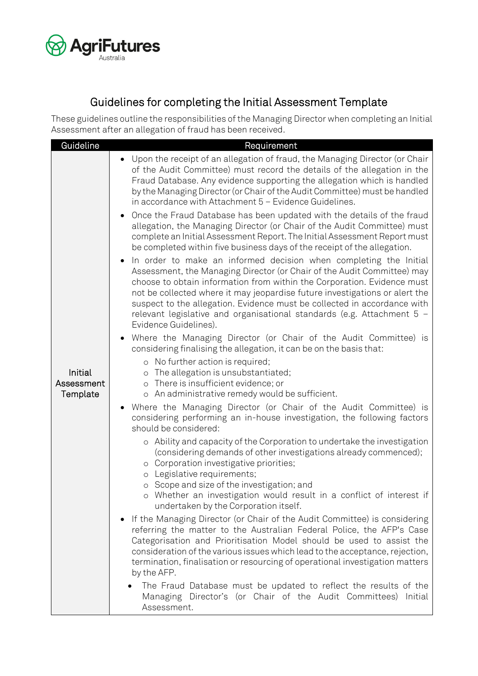

### Guidelines for completing the Initial Assessment Template

These guidelines outline the responsibilities of the Managing Director when completing an Initial Assessment after an allegation of fraud has been received.

| Guideline                         | Requirement                                                                                                                                                                                                                                                                                                                                                                                                                                                                                                                                                                                                                                                                                                                                                                                          |
|-----------------------------------|------------------------------------------------------------------------------------------------------------------------------------------------------------------------------------------------------------------------------------------------------------------------------------------------------------------------------------------------------------------------------------------------------------------------------------------------------------------------------------------------------------------------------------------------------------------------------------------------------------------------------------------------------------------------------------------------------------------------------------------------------------------------------------------------------|
|                                   | Upon the receipt of an allegation of fraud, the Managing Director (or Chair<br>of the Audit Committee) must record the details of the allegation in the<br>Fraud Database. Any evidence supporting the allegation which is handled<br>by the Managing Director (or Chair of the Audit Committee) must be handled<br>in accordance with Attachment 5 - Evidence Guidelines.                                                                                                                                                                                                                                                                                                                                                                                                                           |
|                                   | Once the Fraud Database has been updated with the details of the fraud<br>allegation, the Managing Director (or Chair of the Audit Committee) must<br>complete an Initial Assessment Report. The Initial Assessment Report must<br>be completed within five business days of the receipt of the allegation.<br>In order to make an informed decision when completing the Initial<br>Assessment, the Managing Director (or Chair of the Audit Committee) may<br>choose to obtain information from within the Corporation. Evidence must<br>not be collected where it may jeopardise future investigations or alert the<br>suspect to the allegation. Evidence must be collected in accordance with<br>relevant legislative and organisational standards (e.g. Attachment 5 -<br>Evidence Guidelines). |
|                                   | Where the Managing Director (or Chair of the Audit Committee) is<br>considering finalising the allegation, it can be on the basis that:                                                                                                                                                                                                                                                                                                                                                                                                                                                                                                                                                                                                                                                              |
| Initial<br>Assessment<br>Template | o No further action is required;<br>The allegation is unsubstantiated;<br>$\circ$<br>There is insufficient evidence; or<br>$\circ$<br>o An administrative remedy would be sufficient.                                                                                                                                                                                                                                                                                                                                                                                                                                                                                                                                                                                                                |
|                                   | Where the Managing Director (or Chair of the Audit Committee) is<br>considering performing an in-house investigation, the following factors<br>should be considered:                                                                                                                                                                                                                                                                                                                                                                                                                                                                                                                                                                                                                                 |
|                                   | o Ability and capacity of the Corporation to undertake the investigation<br>(considering demands of other investigations already commenced);<br>o Corporation investigative priorities;<br>Legislative requirements;<br>$\circ$<br>o Scope and size of the investigation; and<br>o Whether an investigation would result in a conflict of interest if                                                                                                                                                                                                                                                                                                                                                                                                                                                |
|                                   | undertaken by the Corporation itself.<br>If the Managing Director (or Chair of the Audit Committee) is considering<br>referring the matter to the Australian Federal Police, the AFP's Case<br>Categorisation and Prioritisation Model should be used to assist the<br>consideration of the various issues which lead to the acceptance, rejection,<br>termination, finalisation or resourcing of operational investigation matters<br>by the AFP.                                                                                                                                                                                                                                                                                                                                                   |
|                                   | The Fraud Database must be updated to reflect the results of the<br>Managing Director's (or Chair of the Audit Committees)<br>Initial<br>Assessment.                                                                                                                                                                                                                                                                                                                                                                                                                                                                                                                                                                                                                                                 |